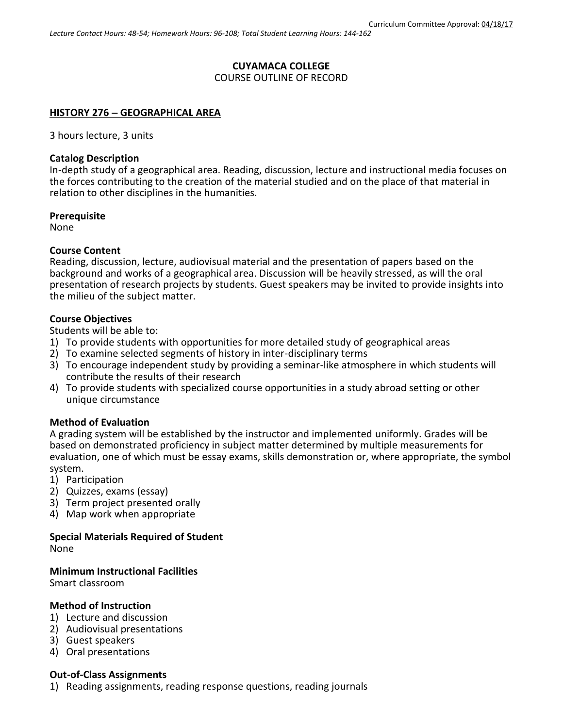# **CUYAMACA COLLEGE**

COURSE OUTLINE OF RECORD

## **HISTORY 276 GEOGRAPHICAL AREA**

3 hours lecture, 3 units

### **Catalog Description**

In-depth study of a geographical area. Reading, discussion, lecture and instructional media focuses on the forces contributing to the creation of the material studied and on the place of that material in relation to other disciplines in the humanities.

### **Prerequisite**

None

## **Course Content**

Reading, discussion, lecture, audiovisual material and the presentation of papers based on the background and works of a geographical area. Discussion will be heavily stressed, as will the oral presentation of research projects by students. Guest speakers may be invited to provide insights into the milieu of the subject matter.

## **Course Objectives**

Students will be able to:

- 1) To provide students with opportunities for more detailed study of geographical areas
- 2) To examine selected segments of history in inter-disciplinary terms
- 3) To encourage independent study by providing a seminar-like atmosphere in which students will contribute the results of their research
- 4) To provide students with specialized course opportunities in a study abroad setting or other unique circumstance

### **Method of Evaluation**

A grading system will be established by the instructor and implemented uniformly. Grades will be based on demonstrated proficiency in subject matter determined by multiple measurements for evaluation, one of which must be essay exams, skills demonstration or, where appropriate, the symbol system.

- 1) Participation
- 2) Quizzes, exams (essay)
- 3) Term project presented orally
- 4) Map work when appropriate

# **Special Materials Required of Student**

None

### **Minimum Instructional Facilities**

Smart classroom

## **Method of Instruction**

- 1) Lecture and discussion
- 2) Audiovisual presentations
- 3) Guest speakers
- 4) Oral presentations

### **Out-of-Class Assignments**

1) Reading assignments, reading response questions, reading journals